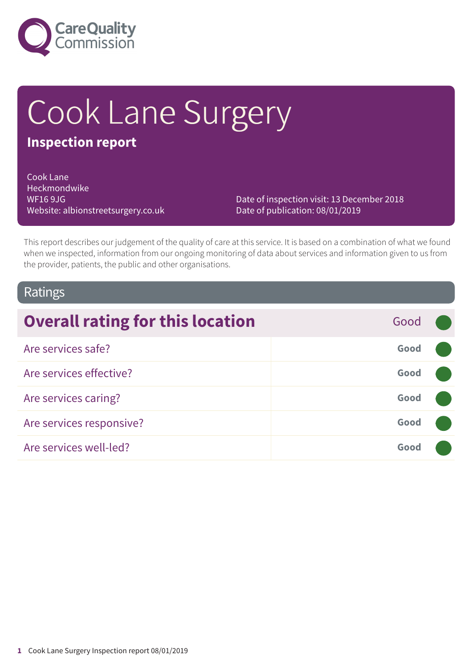

# Cook Lane Surgery

# **Inspection report**

Cook Lane Heckmondwike WF16 9JG Website: albionstreetsurgery.co.uk

Date of inspection visit: 13 December 2018 Date of publication: 08/01/2019

This report describes our judgement of the quality of care at this service. It is based on a combination of what we found when we inspected, information from our ongoing monitoring of data about services and information given to us from the provider, patients, the public and other organisations.

## Ratings

| <b>Overall rating for this location</b> | Good |  |
|-----------------------------------------|------|--|
| Are services safe?                      | Good |  |
| Are services effective?                 | Good |  |
| Are services caring?                    | Good |  |
| Are services responsive?                | Good |  |
| Are services well-led?                  | Good |  |
|                                         |      |  |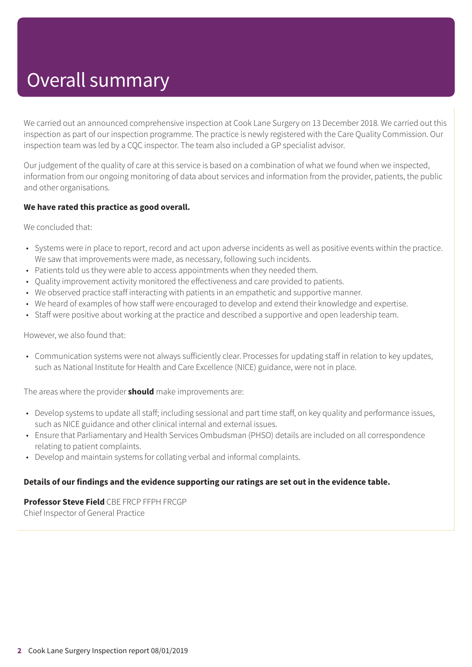# Overall summary

We carried out an announced comprehensive inspection at Cook Lane Surgery on 13 December 2018*.* We carried out this inspection as part of our inspection programme. The practice is newly registered with the Care Quality Commission. Our inspection team was led by a CQC inspector. The team also included a GP specialist advisor.

Our judgement of the quality of care at this service is based on a combination of what we found when we inspected, information from our ongoing monitoring of data about services and information from the provider, patients, the public and other organisations.

#### **We have rated this practice as good overall.**

We concluded that:

- Systems were in place to report, record and act upon adverse incidents as well as positive events within the practice. We saw that improvements were made, as necessary, following such incidents.
- Patients told us they were able to access appointments when they needed them.
- Quality improvement activity monitored the effectiveness and care provided to patients.
- We observed practice staff interacting with patients in an empathetic and supportive manner.
- We heard of examples of how staff were encouraged to develop and extend their knowledge and expertise.
- Staff were positive about working at the practice and described a supportive and open leadership team.

However, we also found that:

• Communication systems were not always sufficiently clear. Processes for updating staff in relation to key updates, such as National Institute for Health and Care Excellence (NICE) guidance, were not in place.

The areas where the provider **should** make improvements are:

- Develop systems to update all staff; including sessional and part time staff, on key quality and performance issues, such as NICE guidance and other clinical internal and external issues.
- Ensure that Parliamentary and Health Services Ombudsman (PHSO) details are included on all correspondence relating to patient complaints.
- Develop and maintain systems for collating verbal and informal complaints.

#### **Details of our findings and the evidence supporting our ratings are set out in the evidence table.**

#### **Professor Steve Field** CBE FRCP FFPH FRCGP

Chief Inspector of General Practice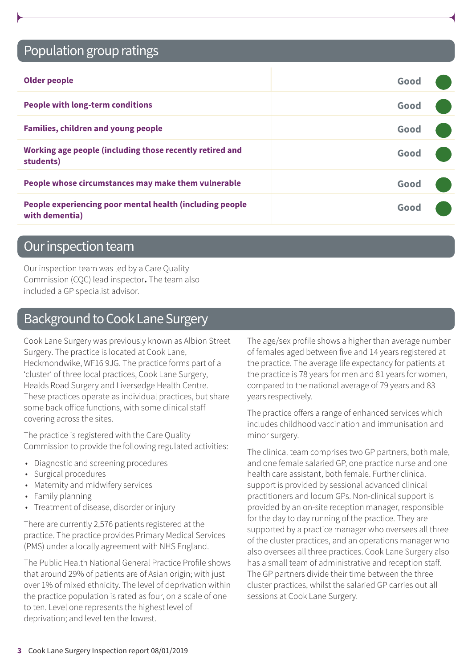# Population group ratings

| <b>Older people</b>                                                        | Good |  |
|----------------------------------------------------------------------------|------|--|
| <b>People with long-term conditions</b>                                    | Good |  |
| <b>Families, children and young people</b>                                 | Good |  |
| Working age people (including those recently retired and<br>students)      | Good |  |
| People whose circumstances may make them vulnerable                        | Good |  |
| People experiencing poor mental health (including people<br>with dementia) | Good |  |

### Our inspection team

Our inspection team was led by a Care Quality Commission (CQC) lead inspector**.** The team also included a GP specialist advisor.

# Background to Cook Lane Surgery

Cook Lane Surgery was previously known as Albion Street Surgery. The practice is located at Cook Lane, Heckmondwike, WF16 9JG. The practice forms part of a 'cluster' of three local practices, Cook Lane Surgery, Healds Road Surgery and Liversedge Health Centre. These practices operate as individual practices, but share some back office functions, with some clinical staff covering across the sites.

The practice is registered with the Care Quality Commission to provide the following regulated activities:

- Diagnostic and screening procedures
- Surgical procedures
- Maternity and midwifery services
- Family planning
- Treatment of disease, disorder or injury

There are currently 2,576 patients registered at the practice. The practice provides Primary Medical Services (PMS) under a locally agreement with NHS England.

The Public Health National General Practice Profile shows that around 29% of patients are of Asian origin; with just over 1% of mixed ethnicity. The level of deprivation within the practice population is rated as four, on a scale of one to ten. Level one represents the highest level of deprivation; and level ten the lowest.

The age/sex profile shows a higher than average number of females aged between five and 14 years registered at the practice. The average life expectancy for patients at the practice is 78 years for men and 81 years for women, compared to the national average of 79 years and 83 years respectively.

The practice offers a range of enhanced services which includes childhood vaccination and immunisation and minor surgery.

The clinical team comprises two GP partners, both male, and one female salaried GP, one practice nurse and one health care assistant, both female. Further clinical support is provided by sessional advanced clinical practitioners and locum GPs. Non-clinical support is provided by an on-site reception manager, responsible for the day to day running of the practice. They are supported by a practice manager who oversees all three of the cluster practices, and an operations manager who also oversees all three practices. Cook Lane Surgery also has a small team of administrative and reception staff. The GP partners divide their time between the three cluster practices, whilst the salaried GP carries out all sessions at Cook Lane Surgery.